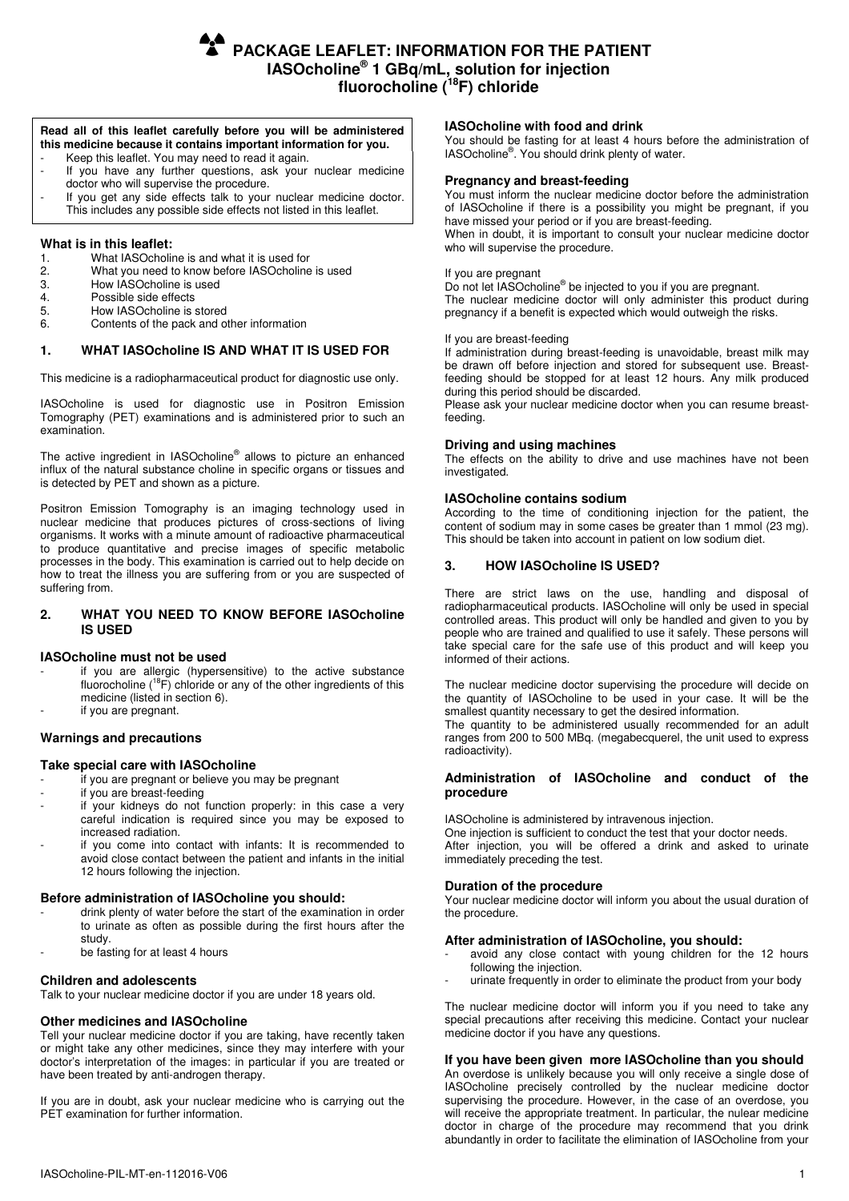**PACKAGE LEAFLET: INFORMATION FOR THE PATIENT IASOcholine® 1 GBq/mL, solution for injection fluorocholine (<sup>18</sup>F) chloride** 

# **Read all of this leaflet carefully before you will be administered this medicine because it contains important information for you.**

- Keep this leaflet. You may need to read it again. If you have any further questions, ask your nuclear medicine
- doctor who will supervise the procedure. If you get any side effects talk to your nuclear medicine doctor.
- This includes any possible side effects not listed in this leaflet.

# **What is in this leaflet:**

- 1. What IASOcholine is and what it is used for<br>2. What you need to know before IASOcholine
- 2. What you need to know before IASOcholine is used
- 3. How IASOcholine is used<br>4. Possible side effects
- 4. Possible side effects<br>5. How IASOcholine is
- 
- 5. How IASOcholine is stored<br>6. Contents of the pack and of 6. Contents of the pack and other information

# **1. WHAT IASOcholine IS AND WHAT IT IS USED FOR**

This medicine is a radiopharmaceutical product for diagnostic use only.

IASOcholine is used for diagnostic use in Positron Emission Tomography (PET) examinations and is administered prior to such an examination.

The active ingredient in IASOcholine<sup>®</sup> allows to picture an enhanced influx of the natural substance choline in specific organs or tissues and is detected by PET and shown as a picture.

Positron Emission Tomography is an imaging technology used in nuclear medicine that produces pictures of cross-sections of living organisms. It works with a minute amount of radioactive pharmaceutical to produce quantitative and precise images of specific metabolic processes in the body. This examination is carried out to help decide on how to treat the illness you are suffering from or you are suspected of suffering from.

# **2. WHAT YOU NEED TO KNOW BEFORE IASOcholine IS USED**

# **IASOcholine must not be used**

- if you are allergic (hypersensitive) to the active substance fluorocholine  $(^{18}F)$  chloride or any of the other ingredients of this medicine (listed in section 6).
- if you are pregnant.

# **Warnings and precautions**

# **Take special care with IASOcholine**

- if you are pregnant or believe you may be pregnant
- if you are breast-feeding
- if your kidneys do not function properly: in this case a very careful indication is required since you may be exposed to increased radiation.
- if you come into contact with infants: It is recommended to avoid close contact between the patient and infants in the initial 12 hours following the injection.

# **Before administration of IASOcholine you should:**

- drink plenty of water before the start of the examination in order to urinate as often as possible during the first hours after the study.
- be fasting for at least 4 hours

## **Children and adolescents**

Talk to your nuclear medicine doctor if you are under 18 years old.

### **Other medicines and IASOcholine**

Tell your nuclear medicine doctor if you are taking, have recently taken or might take any other medicines, since they may interfere with your doctor's interpretation of the images: in particular if you are treated or have been treated by anti-androgen therapy.

If you are in doubt, ask your nuclear medicine who is carrying out the PET examination for further information.

## **IASOcholine with food and drink**

You should be fasting for at least 4 hours before the administration of IASOcholine® . You should drink plenty of water.

## **Pregnancy and breast-feeding**

You must inform the nuclear medicine doctor before the administration of IASOcholine if there is a possibility you might be pregnant, if you have missed your period or if you are breast-feeding.

When in doubt, it is important to consult your nuclear medicine doctor who will supervise the procedure.

#### If you are pregnant

Do not let IASOcholine<sup>®</sup> be injected to you if you are pregnant. The nuclear medicine doctor will only administer this product during pregnancy if a benefit is expected which would outweigh the risks.

#### If you are breast-feeding

If administration during breast-feeding is unavoidable, breast milk may be drawn off before injection and stored for subsequent use. Breastfeeding should be stopped for at least 12 hours. Any milk produced during this period should be discarded.

Please ask your nuclear medicine doctor when you can resume breastfeeding.

## **Driving and using machines**

The effects on the ability to drive and use machines have not been investigated.

#### **IASOcholine contains sodium**

According to the time of conditioning injection for the patient, the content of sodium may in some cases be greater than 1 mmol (23 mg). This should be taken into account in patient on low sodium diet.

# **3. HOW IASOcholine IS USED?**

There are strict laws on the use, handling and disposal of radiopharmaceutical products. IASOcholine will only be used in special controlled areas. This product will only be handled and given to you by people who are trained and qualified to use it safely. These persons will take special care for the safe use of this product and will keep you informed of their actions.

The nuclear medicine doctor supervising the procedure will decide on the quantity of IASOcholine to be used in your case. It will be the smallest quantity necessary to get the desired information.

The quantity to be administered usually recommended for an adult ranges from 200 to 500 MBq. (megabecquerel, the unit used to express radioactivity).

# **Administration of IASOcholine and conduct of the procedure**

IASOcholine is administered by intravenous injection.

One injection is sufficient to conduct the test that your doctor needs. After injection, you will be offered a drink and asked to urinate immediately preceding the test.

# **Duration of the procedure**

Your nuclear medicine doctor will inform you about the usual duration of the procedure.

#### **After administration of IASOcholine, you should:**

- avoid any close contact with young children for the 12 hours following the injection.
- urinate frequently in order to eliminate the product from your body

The nuclear medicine doctor will inform you if you need to take any special precautions after receiving this medicine. Contact your nuclear medicine doctor if you have any questions.

## **If you have been given more IASOcholine than you should**

An overdose is unlikely because you will only receive a single dose of IASOcholine precisely controlled by the nuclear medicine doctor supervising the procedure. However, in the case of an overdose, you will receive the appropriate treatment. In particular, the nulear medicine doctor in charge of the procedure may recommend that you drink abundantly in order to facilitate the elimination of IASOcholine from your